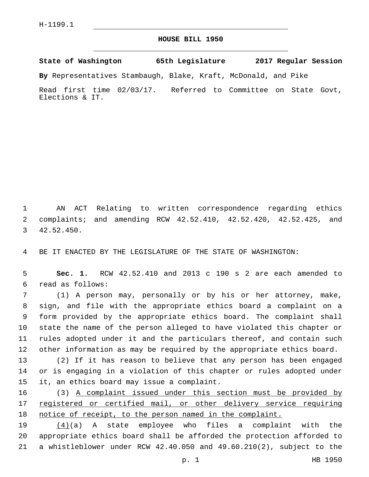## **HOUSE BILL 1950**

**State of Washington 65th Legislature 2017 Regular Session**

**By** Representatives Stambaugh, Blake, Kraft, McDonald, and Pike

Read first time 02/03/17. Referred to Committee on State Govt, Elections & IT.

1 AN ACT Relating to written correspondence regarding ethics 2 complaints; and amending RCW 42.52.410, 42.52.420, 42.52.425, and 42.52.450.3

4 BE IT ENACTED BY THE LEGISLATURE OF THE STATE OF WASHINGTON:

5 **Sec. 1.** RCW 42.52.410 and 2013 c 190 s 2 are each amended to read as follows:6

 (1) A person may, personally or by his or her attorney, make, sign, and file with the appropriate ethics board a complaint on a form provided by the appropriate ethics board. The complaint shall state the name of the person alleged to have violated this chapter or rules adopted under it and the particulars thereof, and contain such other information as may be required by the appropriate ethics board.

13 (2) If it has reason to believe that any person has been engaged 14 or is engaging in a violation of this chapter or rules adopted under 15 it, an ethics board may issue a complaint.

16 (3) A complaint issued under this section must be provided by 17 registered or certified mail, or other delivery service requiring 18 notice of receipt, to the person named in the complaint.

19 (4)(a) A state employee who files a complaint with the 20 appropriate ethics board shall be afforded the protection afforded to 21 a whistleblower under RCW 42.40.050 and 49.60.210(2), subject to the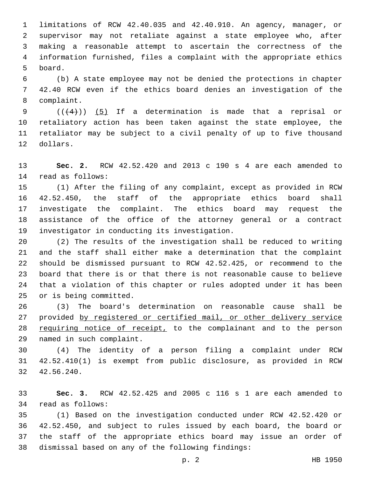limitations of RCW 42.40.035 and 42.40.910. An agency, manager, or supervisor may not retaliate against a state employee who, after making a reasonable attempt to ascertain the correctness of the information furnished, files a complaint with the appropriate ethics 5 board.

 (b) A state employee may not be denied the protections in chapter 42.40 RCW even if the ethics board denies an investigation of the 8 complaint.

9 ( $(\frac{4}{4})$ ) (5) If a determination is made that a reprisal or retaliatory action has been taken against the state employee, the retaliator may be subject to a civil penalty of up to five thousand 12 dollars.

 **Sec. 2.** RCW 42.52.420 and 2013 c 190 s 4 are each amended to 14 read as follows:

 (1) After the filing of any complaint, except as provided in RCW 42.52.450, the staff of the appropriate ethics board shall investigate the complaint. The ethics board may request the assistance of the office of the attorney general or a contract 19 investigator in conducting its investigation.

 (2) The results of the investigation shall be reduced to writing and the staff shall either make a determination that the complaint should be dismissed pursuant to RCW 42.52.425, or recommend to the board that there is or that there is not reasonable cause to believe that a violation of this chapter or rules adopted under it has been 25 or is being committed.

 (3) The board's determination on reasonable cause shall be provided by registered or certified mail, or other delivery service 28 requiring notice of receipt, to the complainant and to the person 29 named in such complaint.

 (4) The identity of a person filing a complaint under RCW 42.52.410(1) is exempt from public disclosure, as provided in RCW 42.56.240.32

 **Sec. 3.** RCW 42.52.425 and 2005 c 116 s 1 are each amended to 34 read as follows:

 (1) Based on the investigation conducted under RCW 42.52.420 or 42.52.450, and subject to rules issued by each board, the board or the staff of the appropriate ethics board may issue an order of 38 dismissal based on any of the following findings: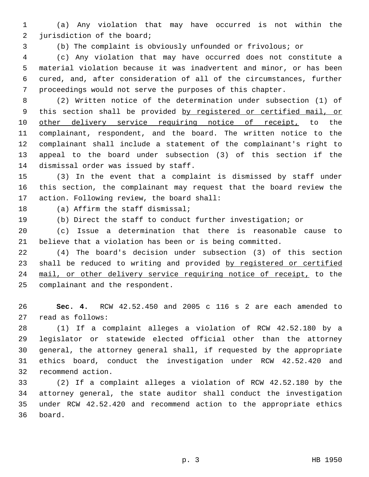(a) Any violation that may have occurred is not within the 2 jurisdiction of the board;

(b) The complaint is obviously unfounded or frivolous; or

 (c) Any violation that may have occurred does not constitute a material violation because it was inadvertent and minor, or has been cured, and, after consideration of all of the circumstances, further proceedings would not serve the purposes of this chapter.

 (2) Written notice of the determination under subsection (1) of this section shall be provided by registered or certified mail, or 10 other delivery service requiring notice of receipt, to the complainant, respondent, and the board. The written notice to the complainant shall include a statement of the complainant's right to appeal to the board under subsection (3) of this section if the 14 dismissal order was issued by staff.

 (3) In the event that a complaint is dismissed by staff under this section, the complainant may request that the board review the 17 action. Following review, the board shall:

18 (a) Affirm the staff dismissal;

(b) Direct the staff to conduct further investigation; or

 (c) Issue a determination that there is reasonable cause to believe that a violation has been or is being committed.

 (4) The board's decision under subsection (3) of this section 23 shall be reduced to writing and provided by registered or certified 24 mail, or other delivery service requiring notice of receipt, to the 25 complainant and the respondent.

 **Sec. 4.** RCW 42.52.450 and 2005 c 116 s 2 are each amended to 27 read as follows:

 (1) If a complaint alleges a violation of RCW 42.52.180 by a legislator or statewide elected official other than the attorney general, the attorney general shall, if requested by the appropriate ethics board, conduct the investigation under RCW 42.52.420 and 32 recommend action.

 (2) If a complaint alleges a violation of RCW 42.52.180 by the attorney general, the state auditor shall conduct the investigation under RCW 42.52.420 and recommend action to the appropriate ethics 36 board.